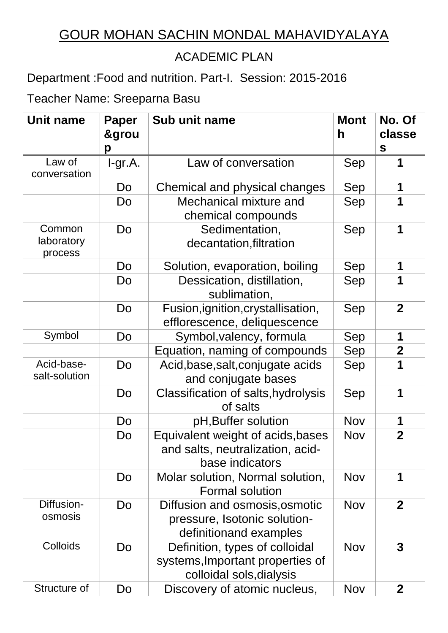## ACADEMIC PLAN

### Department :Food and nutrition. Part-I. Session: 2015-2016

Teacher Name: Sreeparna Basu

| <b>Unit name</b>                | <b>Paper</b><br>&grou<br>р | Sub unit name                                                                                  | <b>Mont</b><br>h | No. Of<br>classe<br>$\mathbf{s}$ |
|---------------------------------|----------------------------|------------------------------------------------------------------------------------------------|------------------|----------------------------------|
| Law of<br>conversation          | $I-gr.A.$                  | Law of conversation                                                                            | Sep              | 1                                |
|                                 | Do                         | Chemical and physical changes                                                                  | Sep              | 1                                |
|                                 | Do                         | Mechanical mixture and<br>chemical compounds                                                   | Sep              | 1                                |
| Common<br>laboratory<br>process | Do                         | Sedimentation,<br>decantation, filtration                                                      | Sep              | 1                                |
|                                 | Do                         | Solution, evaporation, boiling                                                                 | Sep              | 1                                |
|                                 | Do                         | Dessication, distillation,<br>sublimation,                                                     | Sep              | 1                                |
|                                 | Do                         | Fusion, ignition, crystallisation,<br>efflorescence, deliquescence                             | Sep              | $\mathbf 2$                      |
| Symbol                          | Do                         | Symbol, valency, formula                                                                       | Sep              | 1                                |
|                                 |                            | Equation, naming of compounds                                                                  | Sep              | $\boldsymbol{2}$                 |
| Acid-base-<br>salt-solution     | Do                         | Acid, base, salt, conjugate acids<br>and conjugate bases                                       | Sep              | 1                                |
|                                 | Do                         | Classification of salts, hydrolysis<br>of salts                                                | Sep              | 1                                |
|                                 | Do                         | pH, Buffer solution                                                                            | <b>Nov</b>       | 1                                |
|                                 | Do                         | Equivalent weight of acids, bases<br>and salts, neutralization, acid-<br>base indicators       | Nov              | $\boldsymbol{2}$                 |
|                                 | Do                         | Molar solution, Normal solution,<br><b>Formal solution</b>                                     | <b>Nov</b>       | 1                                |
| Diffusion-<br>osmosis           | Do                         | Diffusion and osmosis, osmotic<br>pressure, Isotonic solution-<br>definitionand examples       | <b>Nov</b>       | $\mathbf{2}$                     |
| <b>Colloids</b>                 | Do                         | Definition, types of colloidal<br>systems, Important properties of<br>colloidal sols, dialysis | <b>Nov</b>       | 3                                |
| Structure of                    | Do                         | Discovery of atomic nucleus,                                                                   | <b>Nov</b>       | $\mathbf{2}$                     |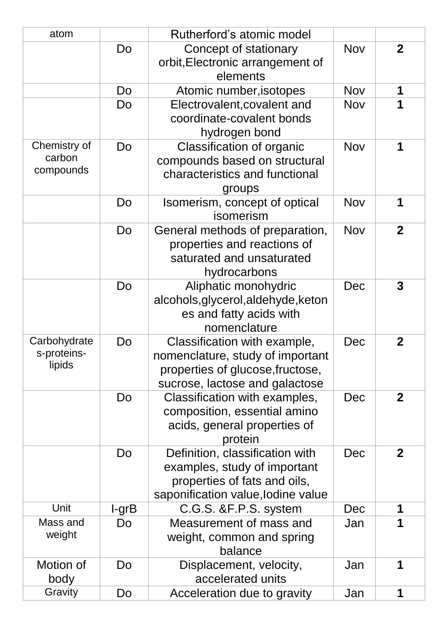| atom                                  |                                   | Rutherford's atomic model                                                                                                              |            |                |
|---------------------------------------|-----------------------------------|----------------------------------------------------------------------------------------------------------------------------------------|------------|----------------|
|                                       | Do                                | Concept of stationary<br>orbit, Electronic arrangement of<br>elements                                                                  | <b>Nov</b> | $\mathbf{2}$   |
|                                       | Do                                | Atomic number, isotopes                                                                                                                | <b>Nov</b> | 1              |
|                                       | Do                                | Electrovalent, covalent and<br>coordinate-covalent bonds<br>hydrogen bond                                                              | <b>Nov</b> |                |
| Chemistry of<br>carbon<br>compounds   | Do                                | <b>Classification of organic</b><br>compounds based on structural<br>characteristics and functional<br>groups                          | <b>Nov</b> | 1              |
|                                       | Do                                | Isomerism, concept of optical<br>isomerism                                                                                             | <b>Nov</b> | 1              |
|                                       | Do                                | General methods of preparation,<br>properties and reactions of<br>saturated and unsaturated<br>hydrocarbons                            | <b>Nov</b> | $\overline{2}$ |
|                                       | Do                                | Aliphatic monohydric<br>alcohols, glycerol, aldehyde, keton<br>es and fatty acids with<br>nomenclature                                 | Dec        | 3              |
| Carbohydrate<br>s-proteins-<br>lipids | Do                                | Classification with example,<br>nomenclature, study of important<br>properties of glucose, fructose,<br>sucrose, lactose and galactose | Dec        | $\mathbf 2$    |
|                                       | Do                                | Classification with examples,<br>composition, essential amino<br>acids, general properties of<br>protein                               | Dec        | $\mathbf{2}$   |
|                                       | Do                                | Definition, classification with<br>examples, study of important<br>properties of fats and oils,<br>saponification value, lodine value  | Dec        | $\mathbf{2}$   |
| Unit                                  | I-grB                             | C.G.S. & F.P.S. system                                                                                                                 | Dec        | 1              |
| Mass and<br>weight                    | Do                                | Measurement of mass and<br>weight, common and spring<br>balance                                                                        | Jan        | 1              |
| Motion of<br>body                     | Do                                | Displacement, velocity,<br>accelerated units                                                                                           | Jan        | 1              |
| Gravity                               | Acceleration due to gravity<br>Do |                                                                                                                                        | Jan        | 1              |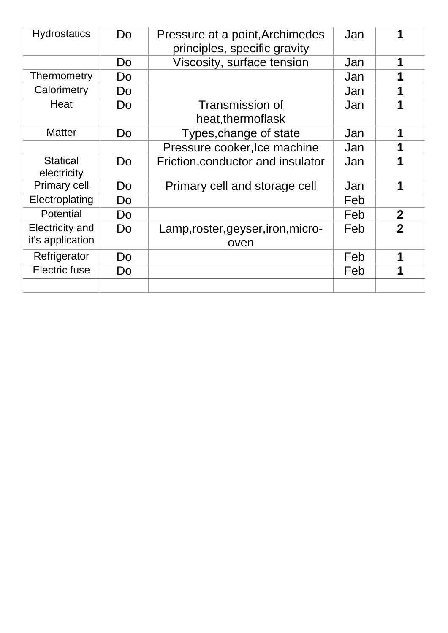| <b>Hydrostatics</b>                 | Do | Pressure at a point, Archimedes<br>principles, specific gravity | Jan |                |
|-------------------------------------|----|-----------------------------------------------------------------|-----|----------------|
|                                     | Do | Viscosity, surface tension                                      | Jan | 1              |
| Thermometry                         | Do |                                                                 | Jan | 1              |
| Calorimetry                         | Do |                                                                 | Jan | 1              |
| Heat                                | Do | Transmission of<br>heat, thermoflask                            | Jan | 1              |
| <b>Matter</b>                       | Do | Types, change of state                                          | Jan | 1              |
|                                     |    |                                                                 |     | 1              |
|                                     |    | Pressure cooker, Ice machine                                    | Jan |                |
| <b>Statical</b><br>electricity      | Do | Friction, conductor and insulator                               | Jan |                |
| <b>Primary cell</b>                 | Do | Primary cell and storage cell                                   | Jan | 1              |
| Electroplating                      | Do |                                                                 | Feb |                |
| <b>Potential</b>                    | Do |                                                                 | Feb | $\mathbf{2}$   |
| Electricity and<br>it's application | Do | Lamp, roster, geyser, iron, micro-<br>oven                      | Feb | $\overline{2}$ |
| Refrigerator                        | Do |                                                                 | Feb |                |
| <b>Electric fuse</b>                | Do |                                                                 | Feb |                |
|                                     |    |                                                                 |     |                |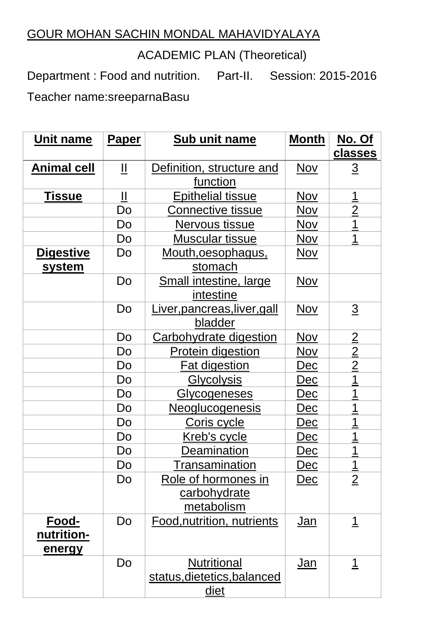ACADEMIC PLAN (Theoretical)

Department : Food and nutrition. Part-II. Session: 2015-2016 Teacher name:sreeparnaBasu

| Unit name            | <b>Paper</b>           | Sub unit name                | <b>Month</b> | No. Of<br>classes |  |
|----------------------|------------------------|------------------------------|--------------|-------------------|--|
| <b>Animal cell</b>   | $\mathbf{\mathsf{II}}$ | Definition, structure and    | <b>Nov</b>   | $\overline{3}$    |  |
|                      |                        | function                     |              |                   |  |
| <b>Tissue</b>        | $\mathbf{\mathsf{I}}$  | <b>Epithelial tissue</b>     | <b>Nov</b>   | 1                 |  |
|                      | Do                     | <b>Connective tissue</b>     | <b>Nov</b>   | $\overline{2}$    |  |
|                      | Do                     | Nervous tissue               | Nov          | $\overline{1}$    |  |
|                      | Do                     | <b>Muscular tissue</b>       | <u>Nov</u>   | $\mathbf 1$       |  |
| <u>Digestive</u>     | Do                     | <u>Mouth, oesophagus,</u>    | <u>Nov</u>   |                   |  |
| <u>system</u>        |                        | stomach                      |              |                   |  |
|                      | Do                     | Small intestine, large       | <u>Nov</u>   |                   |  |
|                      |                        | intestine                    |              |                   |  |
|                      | Do                     | Liver, pancreas, liver, gall | <u>Nov</u>   | $\overline{3}$    |  |
|                      |                        | bladder                      |              |                   |  |
|                      | Do                     | Carbohydrate digestion       | <b>Nov</b>   | $\overline{2}$    |  |
|                      | Do                     | <b>Protein digestion</b>     | <u>Nov</u>   | $\overline{2}$    |  |
|                      | Do                     | <b>Fat digestion</b>         | Dec          | $\overline{2}$    |  |
|                      | Do                     | <b>Glycolysis</b>            | Dec          | 1                 |  |
|                      | Do                     | Glycogeneses                 | Dec          | $\overline{1}$    |  |
|                      | Do                     | Neoglucogenesis              | Dec          | $\overline{1}$    |  |
|                      | Do                     | Coris cycle                  | <u>Dec</u>   | $\overline{1}$    |  |
|                      | Do                     | Kreb's cycle                 | Dec          | $\overline{1}$    |  |
|                      | Do                     | Deamination                  | Dec          | 1                 |  |
|                      | Do                     | <u>Transamination</u>        | <u>Dec</u>   | 1                 |  |
|                      | Do                     | Role of hormones in          | Dec          | $\frac{1}{2}$     |  |
|                      |                        | carbohydrate                 |              |                   |  |
|                      |                        | metabolism                   |              |                   |  |
| Food-                | Do                     | Food, nutrition, nutrients   | <u>Jan</u>   | <u> 1</u>         |  |
| nutrition-<br>energy |                        |                              |              |                   |  |
|                      | Do                     | <b>Nutritional</b>           | <u>Jan</u>   | 1                 |  |
|                      |                        | status, dietetics, balanced  |              |                   |  |
|                      |                        | <u>diet</u>                  |              |                   |  |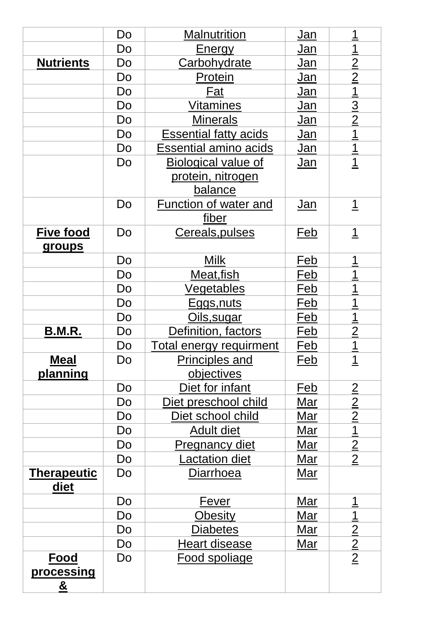|                                                       | Do | <b>Malnutrition</b>            | Jan        | 1                          |
|-------------------------------------------------------|----|--------------------------------|------------|----------------------------|
|                                                       | Do | <b>Energy</b>                  | <u>Jan</u> | $\overline{1}$             |
| <b>Nutrients</b>                                      | Do | Carbohydrate                   | <u>Jan</u> | $\overline{2}$             |
|                                                       | Do | Protein                        | <u>Jan</u> | $\overline{2}$             |
|                                                       | Do | Fat                            | Jan        | $\overline{\mathbf{1}}$    |
|                                                       | Do | <b>Vitamines</b>               | <u>Jan</u> | $\overline{\underline{3}}$ |
|                                                       | Do | <b>Minerals</b>                | <u>Jan</u> | $\overline{2}$             |
|                                                       | Do | <b>Essential fatty acids</b>   | <u>Jan</u> | $\overline{1}$             |
|                                                       | Do | <b>Essential amino acids</b>   | <u>Jan</u> | $\overline{1}$             |
|                                                       | Do | <b>Biological value of</b>     | <u>Jan</u> | $\overline{1}$             |
|                                                       |    | protein, nitrogen              |            |                            |
|                                                       |    | <b>balance</b>                 |            |                            |
|                                                       | Do | Function of water and<br>fiber | Jan        | $\mathbf 1$                |
| <b>Five food</b>                                      | Do | Cereals, pulses                | <u>Feb</u> | <u> 1</u>                  |
| <u>groups</u>                                         |    |                                |            |                            |
|                                                       | Do | <b>Milk</b>                    | Feb        | <u>1</u>                   |
|                                                       | Do | Meat, fish                     | <u>Feb</u> | 1                          |
|                                                       | Do | <u>Vegetables</u>              | Feb        | <u>1</u>                   |
|                                                       | Do | <u>Eggs,nuts</u>               | Feb        | 1                          |
|                                                       | Do | <u>Oils, sugar</u>             | <u>Feb</u> | $\overline{1}$             |
| <b>B.M.R.</b>                                         | Do | Definition, factors            | <u>Feb</u> | $\overline{2}$             |
|                                                       | Do | <u>Total energy requirment</u> | Feb        | 1                          |
| <b>Meal</b>                                           | Do | <b>Principles and</b>          | Feb        | 1                          |
| planning                                              |    | <u>objectives</u>              |            |                            |
|                                                       | Do | Diet for infant                | Feb        | $\overline{2}$             |
|                                                       | Do | Diet preschool child           | <u>Mar</u> | $\overline{2}$             |
|                                                       | Do | Diet school child              | <u>Mar</u> | $\overline{2}$             |
|                                                       | Do | <b>Adult diet</b>              | Mar        | <u>1</u>                   |
|                                                       | Do | <b>Pregnancy diet</b>          | <u>Mar</u> | $\frac{2}{2}$              |
|                                                       | Do | <u>Lactation diet</u>          | Mar        |                            |
| <u>Therapeutic</u><br>diet                            | Do | Diarrhoea                      | <u>Mar</u> |                            |
|                                                       | Do | Fever                          | <u>Mar</u> | 1                          |
|                                                       | Do | <b>Obesity</b>                 | <u>Mar</u> | <u>1</u>                   |
|                                                       | Do | <b>Diabetes</b>                | Mar        | $\overline{2}$             |
|                                                       | Do | <b>Heart disease</b>           | <u>Mar</u> | $\frac{2}{2}$              |
| Food<br><u>processing</u><br>$\underline{\mathbf{8}}$ | Do | Food spoliage                  |            |                            |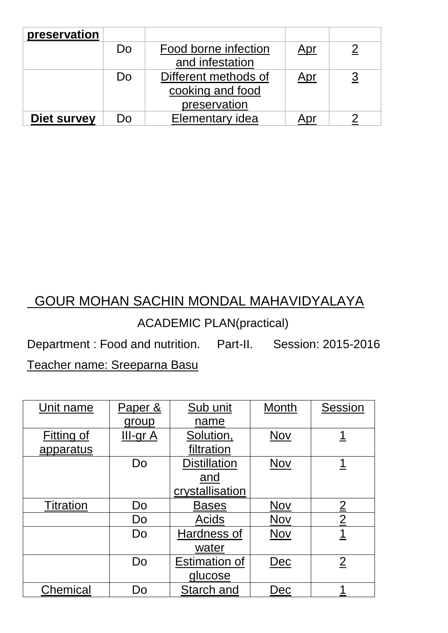| preservation |    |                                                          |            |  |
|--------------|----|----------------------------------------------------------|------------|--|
|              | Do | Food borne infection<br>and infestation                  | <u>Apr</u> |  |
|              | Do | Different methods of<br>cooking and food<br>preservation | <u>Apr</u> |  |
| Diet survey  | Do | Elementary idea                                          | Apr        |  |

#### ACADEMIC PLAN(practical)

Department : Food and nutrition. Part-II. Session: 2015-2016 Teacher name: Sreeparna Basu

| Unit name        | Paper &  | Sub unit             | Month      | <b>Session</b> |
|------------------|----------|----------------------|------------|----------------|
|                  | group    | name                 |            |                |
| Fitting of       | III-gr A | Solution,            | <b>Nov</b> | 1              |
| apparatus        |          | filtration           |            |                |
|                  | Do       | <b>Distillation</b>  | <b>Nov</b> |                |
|                  |          | and                  |            |                |
|                  |          | crystallisation      |            |                |
| <b>Titration</b> | Do       | <b>Bases</b>         | Nov        | $\overline{2}$ |
|                  | Do       | Acids                | <b>Nov</b> | $\overline{2}$ |
|                  | Do       | Hardness of          | <b>Nov</b> | 1              |
|                  |          | water                |            |                |
|                  | Do       | <b>Estimation of</b> | <u>Dec</u> | $\overline{2}$ |
|                  |          | glucose              |            |                |
| Chemical         | Do       | Starch and           | Dec        |                |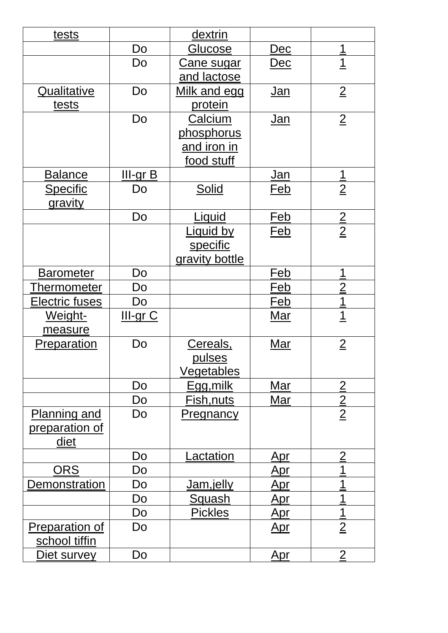| tests                                  |          | dextrin                 |            |                |
|----------------------------------------|----------|-------------------------|------------|----------------|
|                                        | Do       | <u>Glucose</u>          | <u>Dec</u> |                |
|                                        | Do       | <b>Cane sugar</b>       | <u>Dec</u> | $\frac{1}{1}$  |
| <b>Qualitative</b>                     | Do       | and lactose             |            | $\overline{2}$ |
| tests                                  |          | Milk and egg<br>protein | <u>Jan</u> |                |
|                                        | Do       | <b>Calcium</b>          | <u>Jan</u> | $\overline{2}$ |
|                                        |          | phosphorus              |            |                |
|                                        |          | and iron in             |            |                |
|                                        |          | food stuff              |            |                |
| <b>Balance</b>                         | III-gr B |                         | <u>Jan</u> |                |
| <b>Specific</b>                        | Do       | Solid                   | <u>Feb</u> | $\frac{1}{2}$  |
| <u>gravity</u>                         |          |                         |            |                |
|                                        | Do       | <u>Liquid</u>           | Feb        |                |
|                                        |          | Liquid by               | <u>Feb</u> | $\frac{2}{2}$  |
|                                        |          | <b>specific</b>         |            |                |
|                                        |          | gravity bottle          |            |                |
| <b>Barometer</b>                       | Do       |                         | Feb        | <u> 1</u>      |
| Thermometer                            | Do       |                         | Feb        | $\overline{2}$ |
| Electric fuses                         | Do       |                         | <u>Feb</u> | $\overline{1}$ |
| Weight-                                | III-gr C |                         | <u>Mar</u> | $\overline{1}$ |
| measure                                |          |                         |            |                |
| <b>Preparation</b>                     | Do       | Cereals,                | Mar        | $\overline{2}$ |
|                                        |          | pulses                  |            |                |
|                                        |          | <u>Vegetables</u>       |            |                |
|                                        | Do       | Egg, milk               | Mar        | $\frac{2}{2}$  |
|                                        | Do       | <u>Fish,nuts</u>        | Mar        |                |
| <b>Planning and</b>                    | Do       | <b>Pregnancy</b>        |            |                |
| <u>preparation of</u>                  |          |                         |            |                |
| diet                                   |          |                         |            |                |
|                                        | Do       | <u>Lactation</u>        | <u>Apr</u> | $\overline{2}$ |
| <b>ORS</b>                             | Do       |                         | <u>Apr</u> | $\overline{1}$ |
| <b>Demonstration</b>                   | Do       | <u>Jam,jelly</u>        | <u>Apr</u> | 1              |
|                                        | Do       | <u>Squash</u>           | <u>Apr</u> | $\overline{1}$ |
|                                        | Do       | <b>Pickles</b>          | <u>Apr</u> | <u>1</u>       |
| <b>Preparation of</b><br>school tiffin | Do       |                         | <u>Apr</u> | $\overline{2}$ |
| Diet survey                            | Do       |                         | <u>Apr</u> | $\overline{2}$ |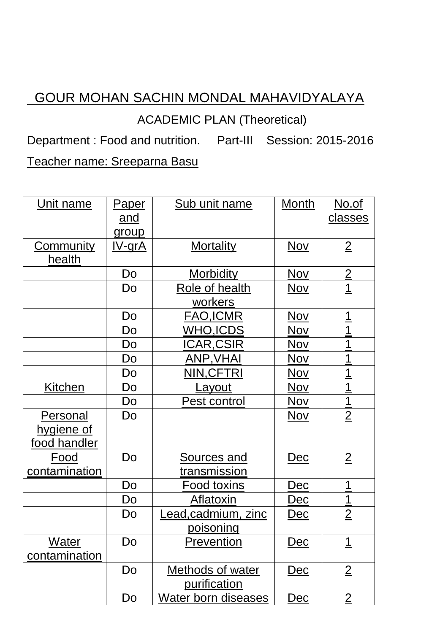### ACADEMIC PLAN (Theoretical)

Department : Food and nutrition. Part-III Session: 2015-2016 Teacher name: Sreeparna Basu

| Unit name                                            | <b>Paper</b><br><u>and</u><br>group | Sub unit name                           | Month      | <u>No.of</u><br><b>classes</b> |
|------------------------------------------------------|-------------------------------------|-----------------------------------------|------------|--------------------------------|
| <b>Community</b><br>health                           | <u>IV-grA</u>                       | Mortality                               | $Nov$      | $\overline{2}$                 |
|                                                      | Do                                  | <b>Morbidity</b>                        | Nov        | $\overline{2}$                 |
|                                                      | Do                                  | <b>Role of health</b><br>workers        | <u>Nov</u> | $\overline{1}$                 |
|                                                      | Do                                  | <b>FAO,ICMR</b>                         | Nov        | 1                              |
|                                                      | Do                                  | WHO,ICDS                                | <b>Nov</b> | 1                              |
|                                                      | Do                                  | ICAR,CSIR                               | <u>Nov</u> | 1                              |
|                                                      | Do                                  | <b>ANP, VHAI</b>                        | Nov        | $\overline{\mathbf{1}}$        |
|                                                      | Do                                  | NIN, CFTRI                              | <b>Nov</b> | 1                              |
| Kitchen                                              | Do                                  | <u>Layout</u>                           | <b>Nov</b> | $\overline{1}$                 |
|                                                      | Do                                  | Pest control                            | <b>Nov</b> | <u>1</u>                       |
| <b>Personal</b><br><u>hygiene of</u><br>food handler | Do                                  |                                         | <u>Nov</u> | $\overline{2}$                 |
| Food<br>contamination                                | Do                                  | Sources and<br>transmission             | Dec        | $\overline{2}$                 |
|                                                      | Do                                  | <u>Food toxins</u>                      | <b>Dec</b> | $\overline{\mathbf{1}}$        |
|                                                      | Do                                  | Aflatoxin                               | Dec        | $\overline{1}$                 |
|                                                      | Do                                  | <u>ead,cadmium, zinc</u><br>poisoning   | Dec        | $\overline{2}$                 |
| Water<br>contamination                               | Do                                  | <b>Prevention</b>                       | Dec        | 1                              |
|                                                      | Do                                  | <b>Methods of water</b><br>purification | Dec        | $\overline{2}$                 |
|                                                      | Do                                  | Water born diseases                     | Dec        | $\mathbf{2}$                   |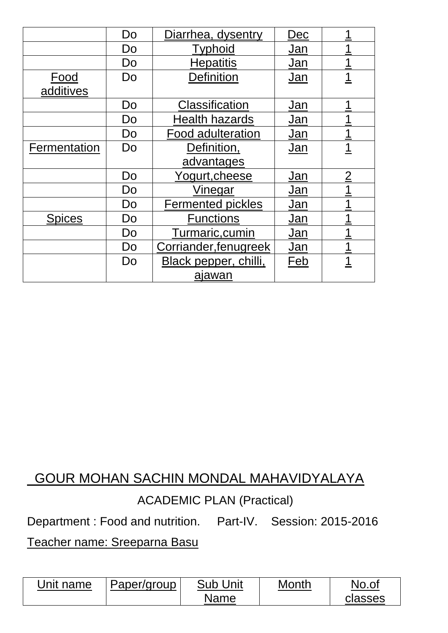|                   | Do | Diarrhea, dysentry       | Dec |                |
|-------------------|----|--------------------------|-----|----------------|
|                   | Do | <b>Typhoid</b>           | Jan |                |
|                   | Do | <b>Hepatitis</b>         | Jan |                |
| Food<br>additives | Do | <b>Definition</b>        | Jan |                |
|                   | Do | Classification           | Jan |                |
|                   | Do | <b>Health hazards</b>    | Jan |                |
|                   | Do | <b>Food adulteration</b> | Jan | $\frac{1}{1}$  |
| Fermentation      | Do | Definition,              | Jan |                |
|                   |    | advantages               |     |                |
|                   | Do | Yogurt, cheese           | Jan | $\overline{2}$ |
|                   | Do | Vinegar                  | Jan |                |
|                   | Do | Fermented pickles        | Jan |                |
| <b>Spices</b>     | Do | <b>Functions</b>         | Jan |                |
|                   | Do | Turmaric, cumin          | Jan |                |
|                   | Do | Corriander, fenugreek    | Jan | 1              |
|                   | Do | Black pepper, chilli,    | Feb |                |
|                   |    | ajawan                   |     |                |

### ACADEMIC PLAN (Practical)

Department : Food and nutrition. Part-IV. Session: 2015-2016

Teacher name: Sreeparna Basu

| Jnit name | Paper/group | Sub Unit | Month | No.of   |
|-----------|-------------|----------|-------|---------|
|           |             | Name     |       | classes |